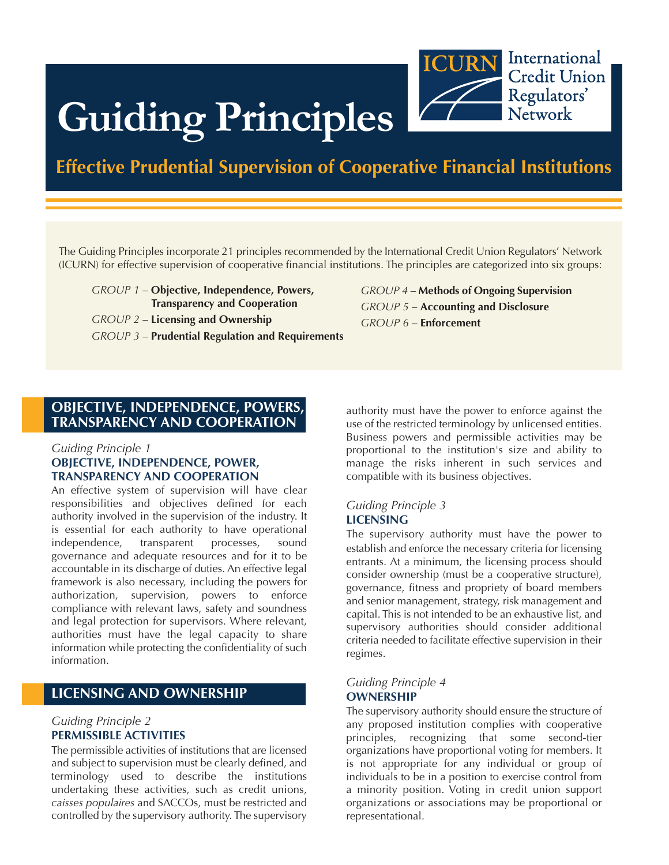

# **Guiding Principles**

# **Effective Prudential Supervision of Cooperative Financial Institutions**

The Guiding Principles incorporate 21 principles recommended by the International Credit Union Regulators' Network (ICURN) for effective supervision of cooperative financial institutions. The principles are categorized into six groups:

*GROUP 1* – **Objective, Independence, Powers, Transparency and Cooperation** *GROUP 2* – **Licensing and Ownership** *GROUP 3* – **Prudential Regulation and Requirements**

**OBJECTIVE, INDEPENDENCE, POWERS, TRANSPARENCY AND COOPERATION**

#### *Guiding Principle 1* **OBJECTIVE, INDEPENDENCE, POWER,**

# **TRANSPARENCY AND COOPERATION**

An effective system of supervision will have clear responsibilities and objectives defined for each authority involved in the supervision of the industry. It is essential for each authority to have operational independence, transparent processes, sound governance and adequate resources and for it to be accountable in its discharge of duties. An effective legal framework is also necessary, including the powers for authorization, supervision, powers to enforce compliance with relevant laws, safety and soundness and legal protection for supervisors. Where relevant, authorities must have the legal capacity to share information while protecting the confidentiality of such information.

# **LICENSING AND OWNERSHIP**

#### *Guiding Principle 2* **PERMISSIBLE ACTIVITIES**

The permissible activities of institutions that are licensed and subject to supervision must be clearly defined, and terminology used to describe the institutions undertaking these activities, such as credit unions, *caisses populaires* and SACCOs, must be restricted and controlled by the supervisory authority. The supervisory

*GROUP 4* – **Methods of Ongoing Supervision** *GROUP 5* – **Accounting and Disclosure** *GROUP 6* – **Enforcement**

authority must have the power to enforce against the use of the restricted terminology by unlicensed entities. Business powers and permissible activities may be proportional to the institution's size and ability to manage the risks inherent in such services and compatible with its business objectives.

#### *Guiding Principle 3* **LICENSING**

The supervisory authority must have the power to establish and enforce the necessary criteria for licensing entrants. At a minimum, the licensing process should consider ownership (must be a cooperative structure), governance, fitness and propriety of board members and senior management, strategy, risk management and capital. This is not intended to be an exhaustive list, and supervisory authorities should consider additional criteria needed to facilitate effective supervision in their regimes.

#### *Guiding Principle 4* **OWNERSHIP**

The supervisory authority should ensure the structure of any proposed institution complies with cooperative principles, recognizing that some second-tier organizations have proportional voting for members. It is not appropriate for any individual or group of individuals to be in a position to exercise control from a minority position. Voting in credit union support organizations or associations may be proportional or representational.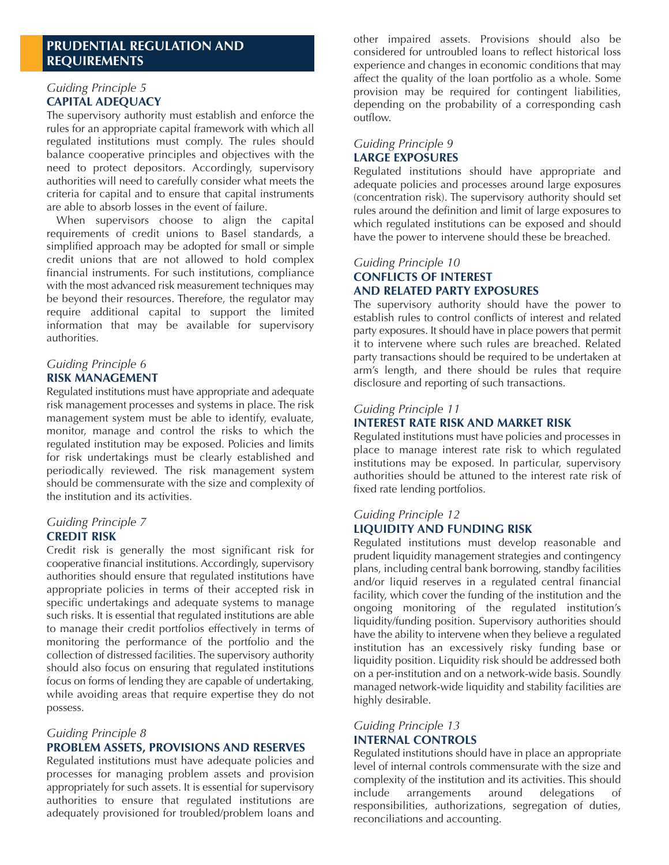## **PRUDENTIAL REGULATION AND REQUIREMENTS**

#### *Guiding Principle 5* **CAPITAL ADEQUACY**

The supervisory authority must establish and enforce the rules for an appropriate capital framework with which all regulated institutions must comply. The rules should balance cooperative principles and objectives with the need to protect depositors. Accordingly, supervisory authorities will need to carefully consider what meets the criteria for capital and to ensure that capital instruments are able to absorb losses in the event of failure.

When supervisors choose to align the capital requirements of credit unions to Basel standards, a simplified approach may be adopted for small or simple credit unions that are not allowed to hold complex financial instruments. For such institutions, compliance with the most advanced risk measurement techniques may be beyond their resources. Therefore, the regulator may require additional capital to support the limited information that may be available for supervisory authorities.

#### *Guiding Principle 6* **RISK MANAGEMENT**

Regulated institutions must have appropriate and adequate risk management processes and systems in place. The risk management system must be able to identify, evaluate, monitor, manage and control the risks to which the regulated institution may be exposed. Policies and limits for risk undertakings must be clearly established and periodically reviewed. The risk management system should be commensurate with the size and complexity of the institution and its activities.

#### *Guiding Principle 7* **CREDIT RISK**

Credit risk is generally the most significant risk for cooperative financial institutions. Accordingly, supervisory authorities should ensure that regulated institutions have appropriate policies in terms of their accepted risk in specific undertakings and adequate systems to manage such risks. It is essential that regulated institutions are able to manage their credit portfolios effectively in terms of monitoring the performance of the portfolio and the collection of distressed facilities. The supervisory authority should also focus on ensuring that regulated institutions focus on forms of lending they are capable of undertaking, while avoiding areas that require expertise they do not possess.

## *Guiding Principle 8*

#### **PROBLEM ASSETS, PROVISIONS AND RESERVES**

Regulated institutions must have adequate policies and processes for managing problem assets and provision appropriately for such assets. It is essential for supervisory authorities to ensure that regulated institutions are adequately provisioned for troubled/problem loans and other impaired assets. Provisions should also be considered for untroubled loans to reflect historical loss experience and changes in economic conditions that may affect the quality of the loan portfolio as a whole. Some provision may be required for contingent liabilities, depending on the probability of a corresponding cash outflow.

#### *Guiding Principle 9* **LARGE EXPOSURES**

Regulated institutions should have appropriate and adequate policies and processes around large exposures (concentration risk). The supervisory authority should set rules around the definition and limit of large exposures to which regulated institutions can be exposed and should have the power to intervene should these be breached.

## *Guiding Principle 10* **CONFLICTS OF INTEREST AND RELATED PARTY EXPOSURES**

The supervisory authority should have the power to establish rules to control conflicts of interest and related party exposures. It should have in place powers that permit it to intervene where such rules are breached. Related party transactions should be required to be undertaken at arm's length, and there should be rules that require disclosure and reporting of such transactions.

#### *Guiding Principle 11*

#### **INTEREST RATE RISK AND MARKET RISK**

Regulated institutions must have policies and processes in place to manage interest rate risk to which regulated institutions may be exposed. In particular, supervisory authorities should be attuned to the interest rate risk of fixed rate lending portfolios.

#### *Guiding Principle 12* **LIQUIDITY AND FUNDING RISK**

Regulated institutions must develop reasonable and prudent liquidity management strategies and contingency plans, including central bank borrowing, standby facilities and/or liquid reserves in a regulated central financial facility, which cover the funding of the institution and the ongoing monitoring of the regulated institution's liquidity/funding position. Supervisory authorities should have the ability to intervene when they believe a regulated institution has an excessively risky funding base or liquidity position. Liquidity risk should be addressed both on a per-institution and on a network-wide basis. Soundly managed network-wide liquidity and stability facilities are highly desirable.

#### *Guiding Principle 13* **INTERNAL CONTROLS**

Regulated institutions should have in place an appropriate level of internal controls commensurate with the size and complexity of the institution and its activities. This should include arrangements around delegations of responsibilities, authorizations, segregation of duties, reconciliations and accounting.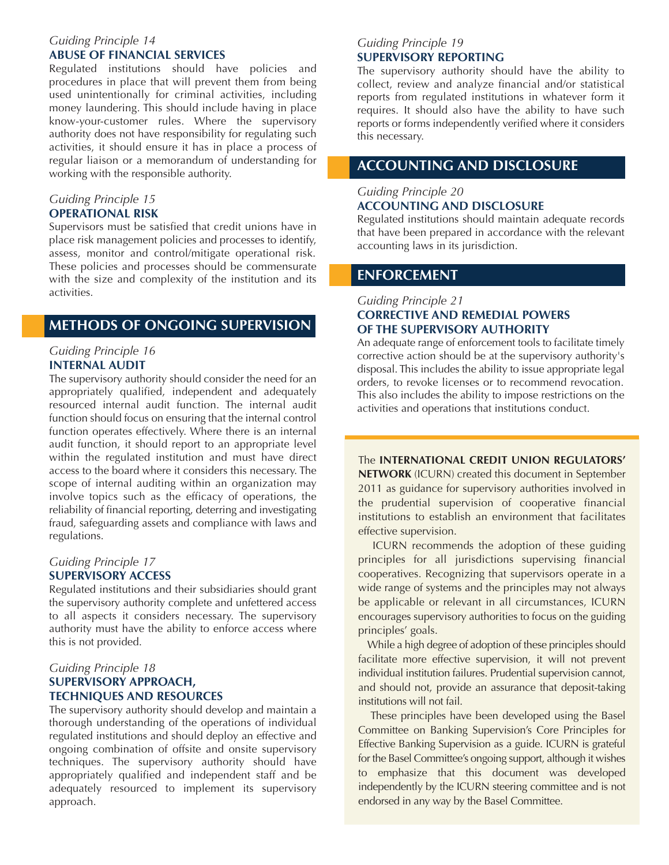#### *Guiding Principle 14* **ABUSE OF FINANCIAL SERVICES**

Regulated institutions should have policies and procedures in place that will prevent them from being used unintentionally for criminal activities, including money laundering. This should include having in place know-your-customer rules. Where the supervisory authority does not have responsibility for regulating such activities, it should ensure it has in place a process of regular liaison or a memorandum of understanding for working with the responsible authority.

# *Guiding Principle 15*

#### **OPERATIONAL RISK**

Supervisors must be satisfied that credit unions have in place risk management policies and processes to identify, assess, monitor and control/mitigate operational risk. These policies and processes should be commensurate with the size and complexity of the institution and its activities.

# **METHODS OF ONGOING SUPERVISION**

#### *Guiding Principle 16* **INTERNAL AUDIT**

The supervisory authority should consider the need for an appropriately qualified, independent and adequately resourced internal audit function. The internal audit function should focus on ensuring that the internal control function operates effectively. Where there is an internal audit function, it should report to an appropriate level within the regulated institution and must have direct access to the board where it considers this necessary. The scope of internal auditing within an organization may involve topics such as the efficacy of operations, the reliability of financial reporting, deterring and investigating fraud, safeguarding assets and compliance with laws and regulations.

# *Guiding Principle 17*

#### **SUPERVISORY ACCESS**

Regulated institutions and their subsidiaries should grant the supervisory authority complete and unfettered access to all aspects it considers necessary. The supervisory authority must have the ability to enforce access where this is not provided.

#### *Guiding Principle 18* **SUPERVISORY APPROACH, TECHNIQUES AND RESOURCES**

The supervisory authority should develop and maintain a thorough understanding of the operations of individual regulated institutions and should deploy an effective and ongoing combination of offsite and onsite supervisory techniques. The supervisory authority should have appropriately qualified and independent staff and be adequately resourced to implement its supervisory approach.

#### *Guiding Principle 19* **SUPERVISORY REPORTING**

The supervisory authority should have the ability to collect, review and analyze financial and/or statistical reports from regulated institutions in whatever form it requires. It should also have the ability to have such reports or forms independently verified where it considers this necessary.

# **ACCOUNTING AND DISCLOSURE**

#### *Guiding Principle 20* **ACCOUNTING AND DISCLOSURE**

Regulated institutions should maintain adequate records that have been prepared in accordance with the relevant accounting laws in its jurisdiction.

## **ENFORCEMENT**

#### *Guiding Principle 21* **CORRECTIVE AND REMEDIAL POWERS OF THE SUPERVISORY AUTHORITY**

An adequate range of enforcement tools to facilitate timely corrective action should be at the supervisory authority's disposal. This includes the ability to issue appropriate legal orders, to revoke licenses or to recommend revocation. This also includes the ability to impose restrictions on the activities and operations that institutions conduct.

#### The **INTERNATIONAL CREDIT UNION REGULATORS'**

**NETWORK** (ICURN) created this document in September 2011 as guidance for supervisory authorities involved in the prudential supervision of cooperative financial institutions to establish an environment that facilitates effective supervision.

ICURN recommends the adoption of these guiding principles for all jurisdictions supervising financial cooperatives. Recognizing that supervisors operate in a wide range of systems and the principles may not always be applicable or relevant in all circumstances, ICURN encourages supervisory authorities to focus on the guiding principles' goals.

While a high degree of adoption of these principles should facilitate more effective supervision, it will not prevent individual institution failures. Prudential supervision cannot, and should not, provide an assurance that deposit-taking institutions will not fail.

These principles have been developed using the Basel Committee on Banking Supervision's Core Principles for Effective Banking Supervision as a guide. ICURN is grateful for the Basel Committee's ongoing support, although it wishes to emphasize that this document was developed independently by the ICURN steering committee and is not endorsed in any way by the Basel Committee.